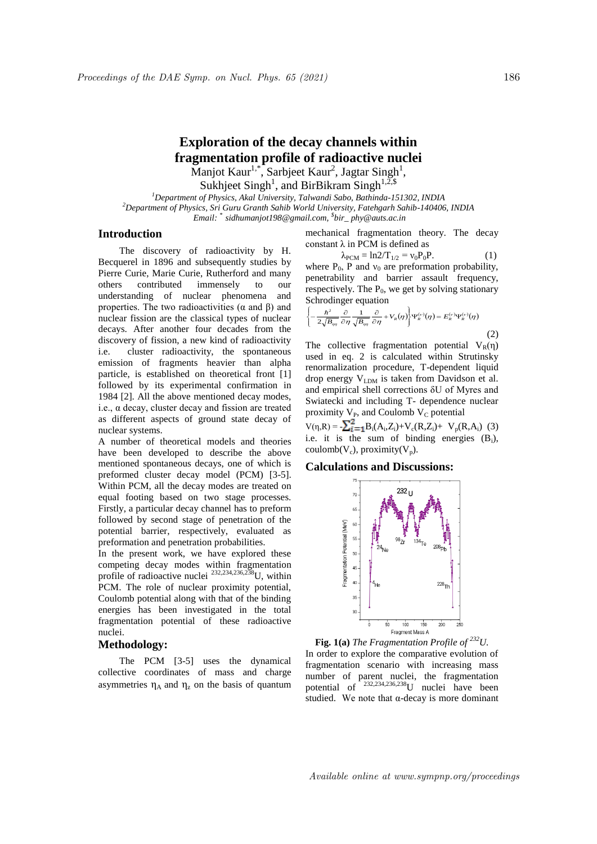# **Exploration of the decay channels within fragmentation profile of radioactive nuclei** Manjot Kaur<sup>1,\*</sup>, Sarbjeet Kaur<sup>2</sup>, Jagtar Singh<sup>1</sup>,

Sukhjeet Singh<sup>1</sup>, and BirBikram Singh<sup>1,2,\$</sup>

*<sup>1</sup>Department of Physics, Akal University, Talwandi Sabo, Bathinda-151302, INDIA <sup>2</sup>Department of Physics, Sri Guru Granth Sahib World University, Fatehgarh Sahib-140406, INDIA Email: \* sidhumanjot198@gmail.com, \$ bir\_ phy@auts.ac.in*

## **Introduction**

The discovery of radioactivity by H. Becquerel in 1896 and subsequently studies by Pierre Curie, Marie Curie, Rutherford and many others contributed immensely to our understanding of nuclear phenomena and properties. The two radioactivities ( $\alpha$  and  $\beta$ ) and nuclear fission are the classical types of nuclear decays. After another four decades from the discovery of fission, a new kind of radioactivity i.e. cluster radioactivity, the spontaneous emission of fragments heavier than alpha particle, is established on theoretical front [1] followed by its experimental confirmation in 1984 [2]. All the above mentioned decay modes, i.e., α decay, cluster decay and fission are treated as different aspects of ground state decay of nuclear systems.

A number of theoretical models and theories have been developed to describe the above mentioned spontaneous decays, one of which is preformed cluster decay model (PCM) [3-5]. Within PCM, all the decay modes are treated on equal footing based on two stage processes. Firstly, a particular decay channel has to preform followed by second stage of penetration of the potential barrier, respectively, evaluated as preformation and penetration probabilities.

In the present work, we have explored these competing decay modes within fragmentation profile of radioactive nuclei 232,234,236,238U, within PCM. The role of nuclear proximity potential, Coulomb potential along with that of the binding energies has been investigated in the total fragmentation potential of these radioactive nuclei.

### **Methodology:**

The PCM [3-5] uses the dynamical collective coordinates of mass and charge asymmetries  $\eta_A$  and  $\eta_z$  on the basis of quantum

mechanical fragmentation theory. The decay constant  $\lambda$  in PCM is defined as

$$
\lambda_{\text{PCM}} = \ln 2/T_{1/2} = v_0 P_0 P. \tag{1}
$$

where  $P_0$ , P and  $v_0$  are preformation probability, penetrability and barrier assault frequency, respectively. The  $P_0$ , we get by solving stationary Schrodinger equation

$$
\left\{-\frac{\hbar^2}{2\sqrt{B_{\eta\eta}}}\frac{\partial}{\partial\eta}\frac{1}{\sqrt{B_{\eta\eta}}}\frac{\partial}{\partial\eta}+V_R(\eta)\right\}\Psi_k^{(\nu)}(\eta)=E_k^{(\nu)}\Psi_k^{(\nu)}(\eta)
$$

 (2) The collective fragmentation potential  $V_R(\eta)$ used in eq. 2 is calculated within Strutinsky renormalization procedure, T-dependent liquid drop energy  $V_{LDM}$  is taken from Davidson et al. and empirical shell corrections δU of Myres and Swiatecki and including T- dependence nuclear proximity  $V_{P}$ , and Coulomb  $V_{C}$  potential

 $V(\eta, R) = \sum_{i=1}^{6} B_i(A_i, Z_i) + V_c(R, Z_i) + V_p(R, A_i)$  (3) i.e. it is the sum of binding energies  $(B_i)$ , coulomb( $V_c$ ), proximity( $V_p$ ).

#### **Calculations and Discussions:**



**Fig. 1(a)** *The Fragmentation Profile of <sup>232</sup>U.* In order to explore the comparative evolution of fragmentation scenario with increasing mass number of parent nuclei, the fragmentation potential of  $232,234,236,238$  unclei have been studied. We note that  $\alpha$ -decay is more dominant